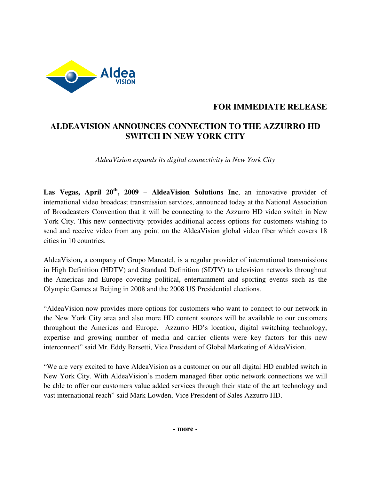

# **FOR IMMEDIATE RELEASE**

# **ALDEAVISION ANNOUNCES CONNECTION TO THE AZZURRO HD SWITCH IN NEW YORK CITY**

*AldeaVision expands its digital connectivity in New York City* 

**Las Vegas, April 20th, 2009** – **AldeaVision Solutions Inc**, an innovative provider of international video broadcast transmission services, announced today at the National Association of Broadcasters Convention that it will be connecting to the Azzurro HD video switch in New York City. This new connectivity provides additional access options for customers wishing to send and receive video from any point on the AldeaVision global video fiber which covers 18 cities in 10 countries.

AldeaVision**,** a company of Grupo Marcatel, is a regular provider of international transmissions in High Definition (HDTV) and Standard Definition (SDTV) to television networks throughout the Americas and Europe covering political, entertainment and sporting events such as the Olympic Games at Beijing in 2008 and the 2008 US Presidential elections.

"AldeaVision now provides more options for customers who want to connect to our network in the New York City area and also more HD content sources will be available to our customers throughout the Americas and Europe. Azzurro HD's location, digital switching technology, expertise and growing number of media and carrier clients were key factors for this new interconnect" said Mr. Eddy Barsetti, Vice President of Global Marketing of AldeaVision.

"We are very excited to have AldeaVision as a customer on our all digital HD enabled switch in New York City. With AldeaVision's modern managed fiber optic network connections we will be able to offer our customers value added services through their state of the art technology and vast international reach" said Mark Lowden, Vice President of Sales Azzurro HD.